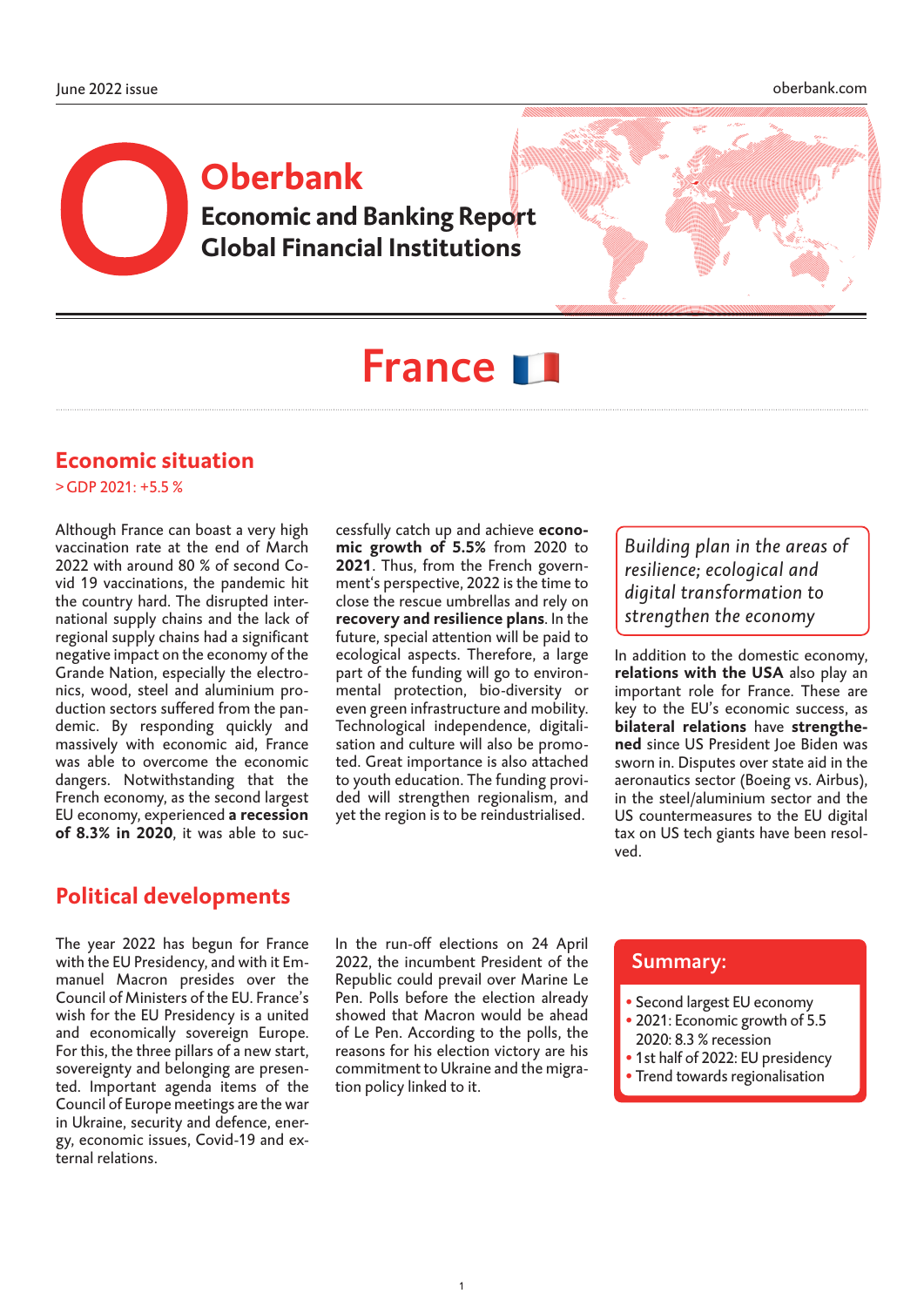# **Economic and Banking Report Global Financial Institutions Oberbank**



# France **11**

#### **Economic situation**

>GDP 2021: +5.5 %

Although France can boast a very high vaccination rate at the end of March 2022 with around 80 % of second Covid 19 vaccinations, the pandemic hit the country hard. The disrupted international supply chains and the lack of regional supply chains had a significant negative impact on the economy of the Grande Nation, especially the electronics, wood, steel and aluminium production sectors suffered from the pandemic. By responding quickly and massively with economic aid, France was able to overcome the economic dangers. Notwithstanding that the French economy, as the second largest EU economy, experienced a recession of 8.3% in 2020, it was able to successfully catch up and achieve economic growth of 5.5% from 2020 to 2021. Thus, from the French government's perspective, 2022 is the time to close the rescue umbrellas and rely on recovery and resilience plans. In the future, special attention will be paid to ecological aspects. Therefore, a large part of the funding will go to environmental protection, bio-diversity or even green infrastructure and mobility. Technological independence, digitalisation and culture will also be promoted. Great importance is also attached to youth education. The funding provided will strengthen regionalism, and yet the region is to be reindustrialised.

*Building plan in the areas of resilience; ecological and digital transformation to strengthen the economy*

In addition to the domestic economy, relations with the USA also play an important role for France. These are key to the EU's economic success, as bilateral relations have strengthened since US President Joe Biden was sworn in. Disputes over state aid in the aeronautics sector (Boeing vs. Airbus), in the steel/aluminium sector and the US countermeasures to the EU digital tax on US tech giants have been resolved.

#### **Political developments**

The year 2022 has begun for France In the run-off elections on 24 April <br>with the EU Presidency, and with it Em- 2022, the incumbent President of the with the EU Presidency, and with it Emmanuel Macron presides over the Council of Ministers of the EU. France's wish for the EU Presidency is a united and economically sovereign Europe. For this, the three pillars of a new start, sovereignty and belonging are presented. Important agenda items of the Council of Europe meetings are the war in Ukraine, security and defence, energy, economic issues, Covid-19 and external relations.

In the run-off elections on 24 April Republic could prevail over Marine Le Pen. Polls before the election already showed that Macron would be ahead of Le Pen. According to the polls, the reasons for his election victory are his commitment to Ukraine and the migration policy linked to it.

- Second largest EU economy
- 2021: Economic growth of 5.5
- 2020: 8.3 % recession
- 1st half of 2022: EU presidency • Trend towards regionalisation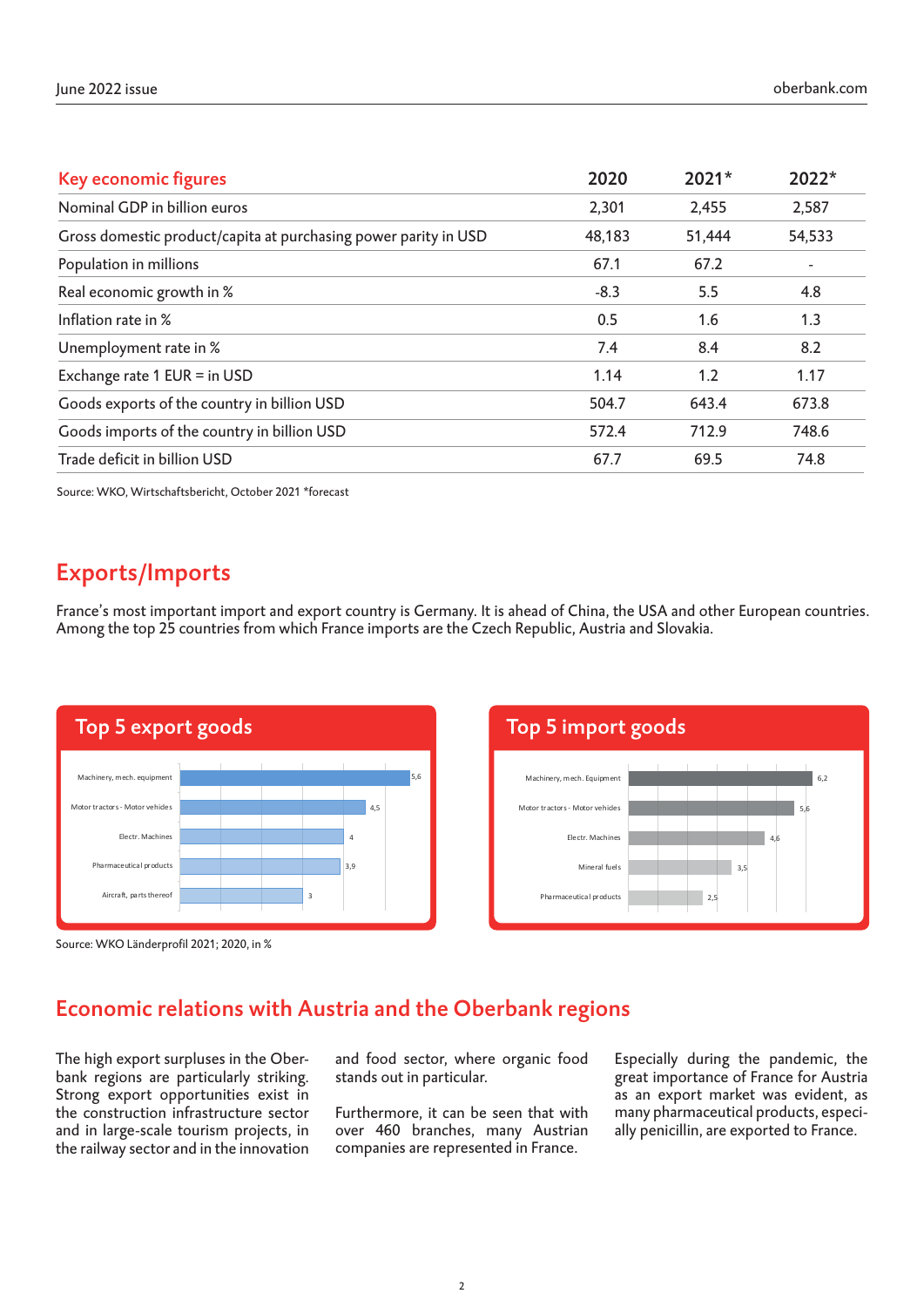| Key economic figures                                            | 2020   | 2021*  | 2022*                    |
|-----------------------------------------------------------------|--------|--------|--------------------------|
| Nominal GDP in billion euros                                    | 2,301  | 2,455  | 2,587                    |
| Gross domestic product/capita at purchasing power parity in USD | 48,183 | 51,444 | 54,533                   |
| Population in millions                                          | 67.1   | 67.2   | $\overline{\phantom{a}}$ |
| Real economic growth in %                                       | $-8.3$ | 5.5    | 4.8                      |
| Inflation rate in %                                             | 0.5    | 1.6    | 1.3                      |
| Unemployment rate in %                                          | 7.4    | 8.4    | 8.2                      |
| Exchange rate 1 EUR = in USD                                    | 1.14   | 1.2    | 1.17                     |
| Goods exports of the country in billion USD                     | 504.7  | 643.4  | 673.8                    |
| Goods imports of the country in billion USD                     | 572.4  | 712.9  | 748.6                    |
| Trade deficit in billion USD                                    | 67.7   | 69.5   | 74.8                     |

Source: WKO, Wirtschaftsbericht, October 2021 \*forecast

## Exports/Imports

France's most important import and export country is Germany. It is ahead of China, the USA and other European countries. Among the top 25 countries from which France imports are the Czech Republic, Austria and Slovakia.





Source: WKO Länderprofil 2021; 2020, in %

#### Economic relations with Austria and the Oberbank regions

The high export surpluses in the Oberbank regions are particularly striking. Strong export opportunities exist in the construction infrastructure sector and in large-scale tourism projects, in the railway sector and in the innovation

and food sector, where organic food stands out in particular.

Furthermore, it can be seen that with over 460 branches, many Austrian companies are represented in France.

Especially during the pandemic, the great importance of France for Austria as an export market was evident, as many pharmaceutical products, especially penicillin, are exported to France.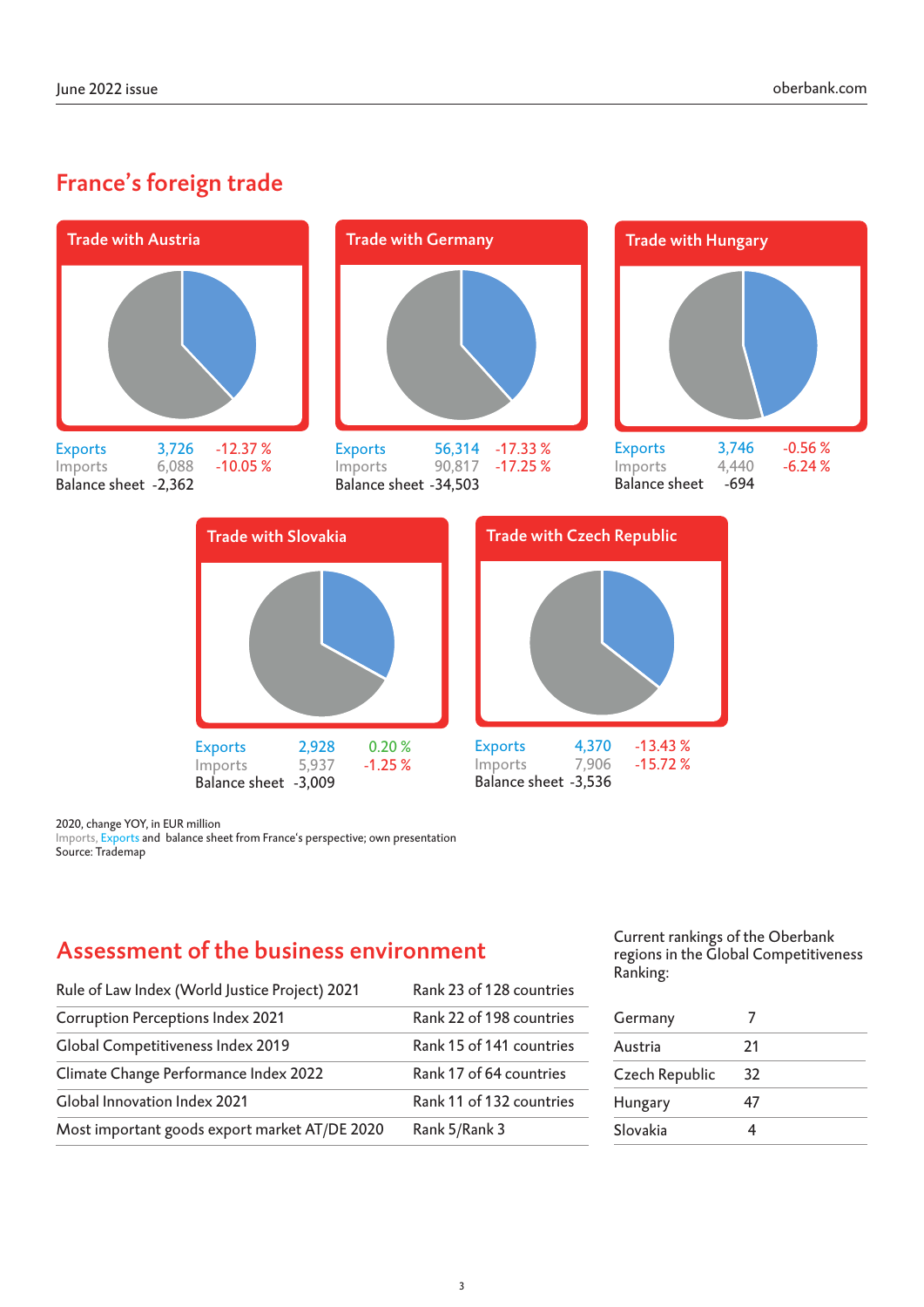# France's foreign trade



Balance sheet -3,536

Balance sheet -3,009

2020, change YOY, in EUR million

Imports, Exports and balance sheet from France's perspective; own presentation Source: Trademap

## Assessment of the business environment

| Rule of Law Index (World Justice Project) 2021 | Rank 23 of 128 countries |
|------------------------------------------------|--------------------------|
| <b>Corruption Perceptions Index 2021</b>       | Rank 22 of 198 countries |
| Global Competitiveness Index 2019              | Rank 15 of 141 countries |
| Climate Change Performance Index 2022          | Rank 17 of 64 countries  |
| Global Innovation Index 2021                   | Rank 11 of 132 countries |
| Most important goods export market AT/DE 2020  | Rank 5/Rank 3            |

Current rankings of the Oberbank regions in the Global Competitiveness Ranking:

| Germany        |    |  |
|----------------|----|--|
| Austria        | 21 |  |
| Czech Republic | 32 |  |
| Hungary        | 47 |  |
| Slovakia       |    |  |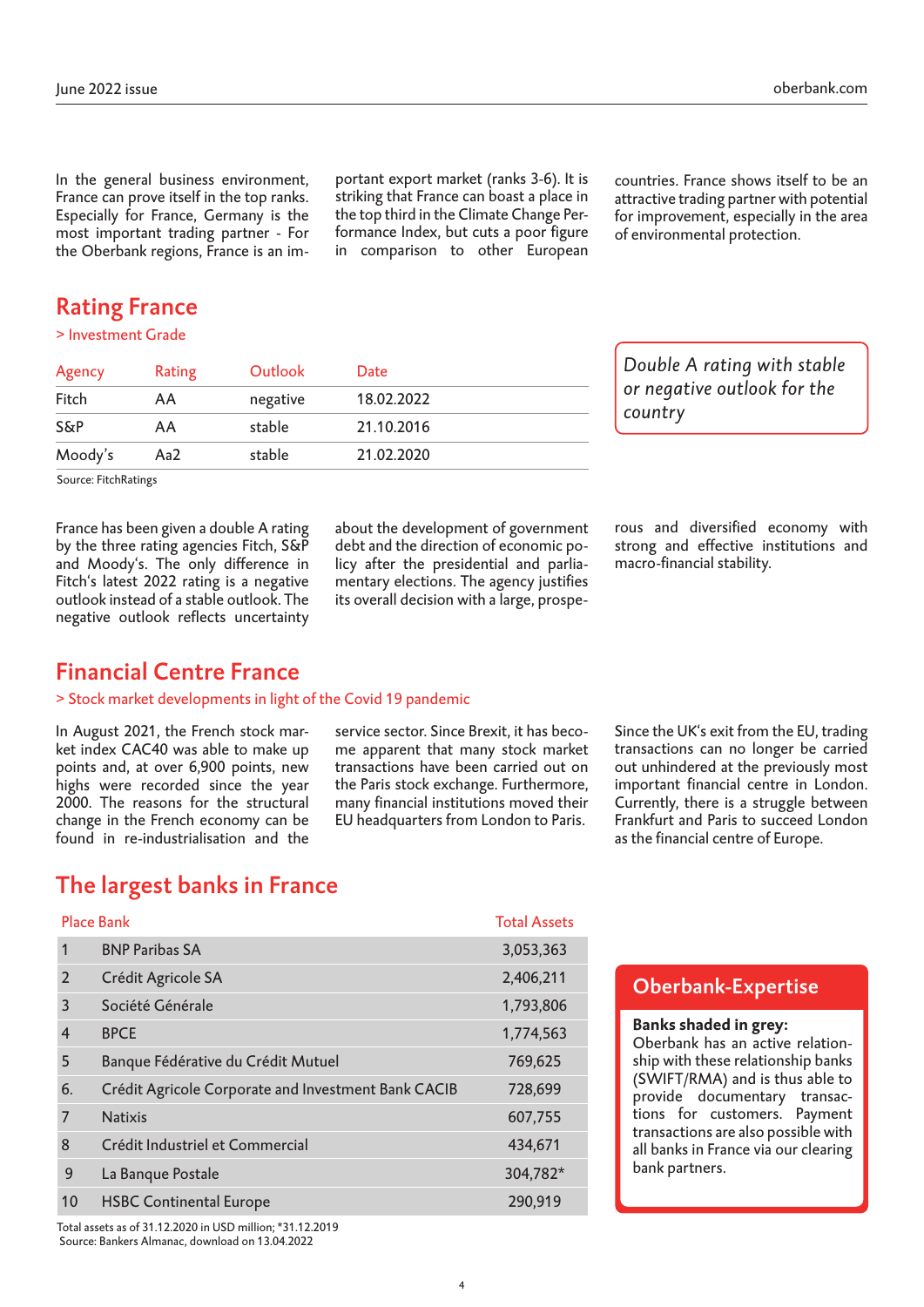In the general business environment, France can prove itself in the top ranks. Especially for France, Germany is the most important trading partner - For the Oberbank regions, France is an important export market (ranks 3-6). It is striking that France can boast a place in the top third in the Climate Change Performance Index, but cuts a poor figure in comparison to other European countries. France shows itself to be an attractive trading partner with potential for improvement, especially in the area of environmental protection.

## Rating France

> Investment Grade

| Agency         | Rating | Outlook  | Date       |  |
|----------------|--------|----------|------------|--|
| Fitch          | AA     | negative | 18.02.2022 |  |
| <b>S&amp;P</b> | AA     | stable   | 21.10.2016 |  |
| Moody's        | Aa2    | stable   | 21.02.2020 |  |

*Double A rating with stable or negative outlook for the country*

Source: FitchRatings

France has been given a double A rating by the three rating agencies Fitch, S&P and Moody's. The only difference in Fitch's latest 2022 rating is a negative outlook instead of a stable outlook. The negative outlook reflects uncertainty about the development of government debt and the direction of economic policy after the presidential and parliamentary elections. The agency justifies its overall decision with a large, prosperous and diversified economy with strong and effective institutions and macro-financial stability.

#### Financial Centre France

#### > Stock market developments in light of the Covid 19 pandemic

In August 2021, the French stock market index CAC40 was able to make up points and, at over 6,900 points, new highs were recorded since the year 2000. The reasons for the structural change in the French economy can be found in re-industrialisation and the

service sector. Since Brexit, it has become apparent that many stock market transactions have been carried out on the Paris stock exchange. Furthermore, many financial institutions moved their EU headquarters from London to Paris.

Since the UK's exit from the EU, trading transactions can no longer be carried out unhindered at the previously most important financial centre in London. Currently, there is a struggle between Frankfurt and Paris to succeed London as the financial centre of Europe.

#### The largest banks in France

|                | <b>Place Bank</b>                                   | <b>Total Assets</b> |
|----------------|-----------------------------------------------------|---------------------|
| 1              | <b>BNP Paribas SA</b>                               | 3,053,363           |
| 2              | Crédit Agricole SA                                  | 2,406,211           |
| 3              | Société Générale                                    | 1,793,806           |
| $\overline{4}$ | <b>BPCE</b>                                         | 1,774,563           |
| 5              | Banque Fédérative du Crédit Mutuel                  | 769,625             |
| 6.             | Crédit Agricole Corporate and Investment Bank CACIB | 728,699             |
| 7              | <b>Natixis</b>                                      | 607,755             |
| 8              | Crédit Industriel et Commercial                     | 434,671             |
| 9              | La Banque Postale                                   | 304,782*            |
| 10             | <b>HSBC Continental Europe</b>                      | 290,919             |

Total assets as of 31.12.2020 in USD million; \*31.12.2019 Source: Bankers Almanac, download on 13.04.2022

#### Oberbank-Expertise

#### **Banks shaded in grey:**

Oberbank has an active relationship with these relationship banks (SWIFT/RMA) and is thus able to provide documentary transactions for customers. Payment transactions are also possible with all banks in France via our clearing bank partners.